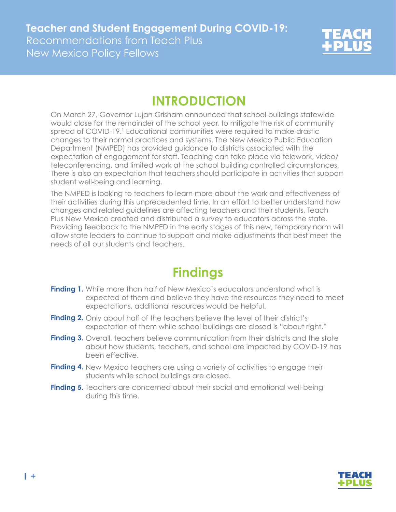

## **INTRODUCTION**

On March 27, Governor Lujan Grisham announced that school buildings statewide would close for the remainder of the school year, to mitigate the risk of community spread of COVID-19.<sup>1</sup> Educational communities were required to make drastic changes to their normal practices and systems. The New Mexico Public Education Department (NMPED) has provided guidance to districts associated with the expectation of engagement for staff. Teaching can take place via telework, video/ teleconferencing, and limited work at the school building controlled circumstances. There is also an expectation that teachers should participate in activities that support student well-being and learning.

The NMPED is looking to teachers to learn more about the work and effectiveness of their activities during this unprecedented time. In an effort to better understand how changes and related guidelines are affecting teachers and their students, Teach Plus New Mexico created and distributed a survey to educators across the state. Providing feedback to the NMPED in the early stages of this new, temporary norm will allow state leaders to continue to support and make adjustments that best meet the needs of all our students and teachers.

## **Findings**

- Finding 1. While more than half of New Mexico's educators understand what is expected of them and believe they have the resources they need to meet expectations, additional resources would be helpful.
- **Finding 2.** Only about half of the teachers believe the level of their district's expectation of them while school buildings are closed is "about right."
- Finding 3. Overall, teachers believe communication from their districts and the state about how students, teachers, and school are impacted by COVID-19 has been effective.
- Finding 4. New Mexico teachers are using a variety of activities to engage their students while school buildings are closed.
- **Finding 5.** Teachers are concerned about their social and emotional well-being during this time.

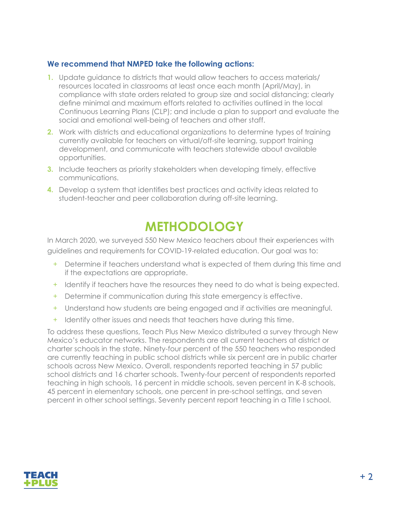### **We recommend that NMPED take the following actions:**

- **1.** Update guidance to districts that would allow teachers to access materials/ resources located in classrooms at least once each month (April/May), in compliance with state orders related to group size and social distancing; clearly define minimal and maximum efforts related to activities outlined in the local Continuous Learning Plans (CLP); and include a plan to support and evaluate the social and emotional well-being of teachers and other staff.
- **2.** Work with districts and educational organizations to determine types of training currently available for teachers on virtual/off-site learning, support training development, and communicate with teachers statewide about available opportunities.
- **3.** Include teachers as priority stakeholders when developing timely, effective communications.
- **4.** Develop a system that identifies best practices and activity ideas related to student-teacher and peer collaboration during off-site learning.

## **METHODOLOGY**

In March 2020, we surveyed 550 New Mexico teachers about their experiences with guidelines and requirements for COVID-19-related education. Our goal was to:

- + Determine if teachers understand what is expected of them during this time and if the expectations are appropriate.
- + Identify if teachers have the resources they need to do what is being expected.
- + Determine if communication during this state emergency is effective.
- + Understand how students are being engaged and if activities are meaningful.
- + Identify other issues and needs that teachers have during this time.

To address these questions, Teach Plus New Mexico distributed a survey through New Mexico's educator networks. The respondents are all current teachers at district or charter schools in the state. Ninety-four percent of the 550 teachers who responded are currently teaching in public school districts while six percent are in public charter schools across New Mexico. Overall, respondents reported teaching in 57 public school districts and 16 charter schools. Twenty-four percent of respondents reported teaching in high schools, 16 percent in middle schools, seven percent in K-8 schools, 45 percent in elementary schools, one percent in pre-school settings, and seven percent in other school settings. Seventy percent report teaching in a Title I school.

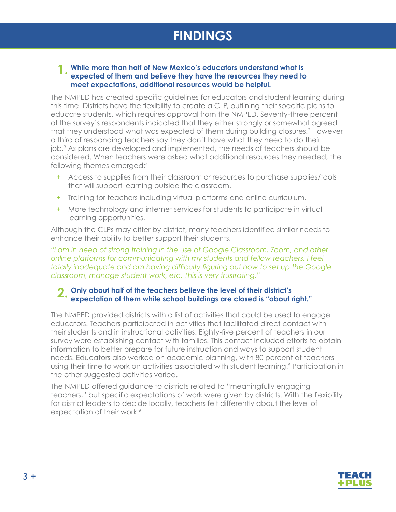## **FINDINGS**

#### **1** While more than half of New Mexico's educators understand what is <br> **1.** expected of them and believe they have the resources they need to **expected of them and believe they have the resources they need to meet expectations, additional resources would be helpful.**

The NMPED has created specific guidelines for educators and student learning during this time. Districts have the flexibility to create a CLP, outlining their specific plans to educate students, which requires approval from the NMPED. Seventy-three percent of the survey's respondents indicated that they either strongly or somewhat agreed that they understood what was expected of them during building closures.<sup>2</sup> However, a third of responding teachers say they don't have what they need to do their job.3 As plans are developed and implemented, the needs of teachers should be considered. When teachers were asked what additional resources they needed, the following themes emerged:<sup>4</sup>

- + Access to supplies from their classroom or resources to purchase supplies/tools that will support learning outside the classroom.
- + Training for teachers including virtual platforms and online curriculum.
- + More technology and internet services for students to participate in virtual learning opportunities.

Although the CLPs may differ by district, many teachers identified similar needs to enhance their ability to better support their students.

*"I am in need of strong training in the use of Google Classroom, Zoom, and other online platforms for communicating with my students and fellow teachers. I feel totally inadequate and am having difficulty figuring out how to set up the Google classroom, manage student work, etc. This is very frustrating."*

### **Only about half of the teachers believe the level of their district's 2.expectation of them while school buildings are closed is "about right."**

The NMPED provided districts with a list of activities that could be used to engage educators. Teachers participated in activities that facilitated direct contact with their students and in instructional activities. Eighty-five percent of teachers in our survey were establishing contact with families. This contact included efforts to obtain information to better prepare for future instruction and ways to support student needs. Educators also worked on academic planning, with 80 percent of teachers using their time to work on activities associated with student learning.<sup>5</sup> Participation in the other suggested activities varied.

The NMPED offered guidance to districts related to "meaningfully engaging teachers," but specific expectations of work were given by districts. With the flexibility for district leaders to decide locally, teachers felt differently about the level of expectation of their work:<sup>6</sup>

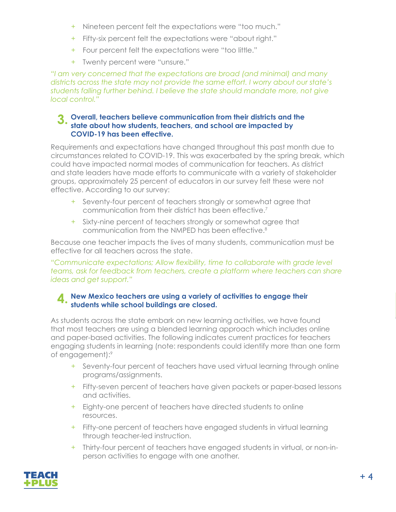- + Nineteen percent felt the expectations were "too much."
- + Fifty-six percent felt the expectations were "about right."
- + Four percent felt the expectations were "too little."
- + Twenty percent were "unsure."

*"I am very concerned that the expectations are broad (and minimal) and many districts across the state may not provide the same effort. I worry about our state's students falling further behind. I believe the state should mandate more, not give local control."*

#### **Overall, teachers believe communication from their districts and the state about how students, teachers, and school are impacted by 3. COVID-19 has been effective.**

Requirements and expectations have changed throughout this past month due to circumstances related to COVID-19. This was exacerbated by the spring break, which could have impacted normal modes of communication for teachers. As district and state leaders have made efforts to communicate with a variety of stakeholder groups, approximately 25 percent of educators in our survey felt these were not effective. According to our survey:

- + Seventy-four percent of teachers strongly or somewhat agree that communication from their district has been effective.7
- + Sixty-nine percent of teachers strongly or somewhat agree that communication from the NMPED has been effective.8

Because one teacher impacts the lives of many students, communication must be effective for all teachers across the state.

*"Communicate expectations; Allow flexibility, time to collaborate with grade level teams, ask for feedback from teachers, create a platform where teachers can share ideas and get support."*

### **New Mexico teachers are using a variety of activities to engage their 4.** New Mexico teachers are using a variety of students while school buildings are closed.

As students across the state embark on new learning activities, we have found that most teachers are using a blended learning approach which includes online and paper-based activities. The following indicates current practices for teachers engaging students in learning (note: respondents could identify more than one form of engagement):9

- + Seventy-four percent of teachers have used virtual learning through online programs/assignments.
- + Fifty-seven percent of teachers have given packets or paper-based lessons and activities.
- + Eighty-one percent of teachers have directed students to online resources.
- + Fifty-one percent of teachers have engaged students in virtual learning through teacher-led instruction.
- + Thirty-four percent of teachers have engaged students in virtual, or non-inperson activities to engage with one another.

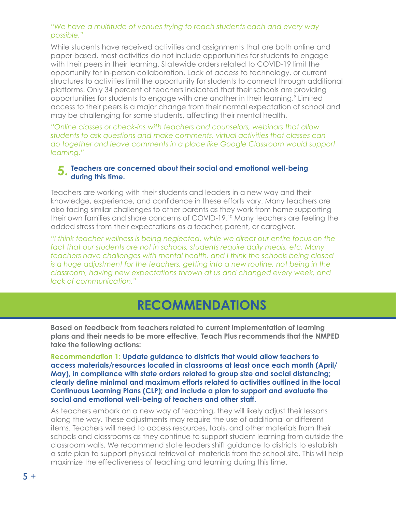#### *"We have a multitude of venues trying to reach students each and every way possible."*

While students have received activities and assignments that are both online and paper-based, most activities do not include opportunities for students to engage with their peers in their learning. Statewide orders related to COVID-19 limit the opportunity for in-person collaboration. Lack of access to technology, or current structures to activities limit the opportunity for students to connect through additional platforms. Only 34 percent of teachers indicated that their schools are providing opportunities for students to engage with one another in their learning.<sup>9</sup> Limited access to their peers is a major change from their normal expectation of school and may be challenging for some students, affecting their mental health.

*"Online classes or check-ins with teachers and counselors, webinars that allow students to ask questions and make comments, virtual activities that classes can do together and leave comments in a place like Google Classroom would support learning."*

#### **Teachers are concerned about their social and emotional well-being 5. during this time.**

Teachers are working with their students and leaders in a new way and their knowledge, experience, and confidence in these efforts vary. Many teachers are also facing similar challenges to other parents as they work from home supporting their own families and share concerns of COVID-19.10 Many teachers are feeling the added stress from their expectations as a teacher, parent, or caregiver.

*"I think teacher wellness is being neglected, while we direct our entire focus on the fact that our students are not in schools, students require daily meals, etc. Many teachers have challenges with mental health, and I think the schools being closed is a huge adjustment for the teachers, getting into a new routine, not being in the classroom, having new expectations thrown at us and changed every week, and lack of communication."*

### **RECOMMENDATIONS**

**Based on feedback from teachers related to current implementation of learning plans and their needs to be more effective, Teach Plus recommends that the NMPED take the following actions:**

**Recommendation 1: Update guidance to districts that would allow teachers to access materials/resources located in classrooms at least once each month (April/ May), in compliance with state orders related to group size and social distancing; clearly define minimal and maximum efforts related to activities outlined in the local Continuous Learning Plans (CLP); and include a plan to support and evaluate the social and emotional well-being of teachers and other staff.**

As teachers embark on a new way of teaching, they will likely adjust their lessons along the way. These adjustments may require the use of additional or different items. Teachers will need to access resources, tools, and other materials from their schools and classrooms as they continue to support student learning from outside the classroom walls. We recommend state leaders shift guidance to districts to establish a safe plan to support physical retrieval of materials from the school site. This will help maximize the effectiveness of teaching and learning during this time.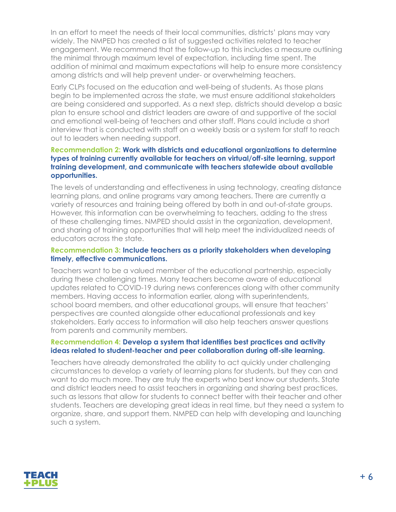In an effort to meet the needs of their local communities, districts' plans may vary widely. The NMPED has created a list of suggested activities related to teacher engagement. We recommend that the follow-up to this includes a measure outlining the minimal through maximum level of expectation, including time spent. The addition of minimal and maximum expectations will help to ensure more consistency among districts and will help prevent under- or overwhelming teachers.

Early CLPs focused on the education and well-being of students. As those plans begin to be implemented across the state, we must ensure additional stakeholders are being considered and supported. As a next step, districts should develop a basic plan to ensure school and district leaders are aware of and supportive of the social and emotional well-being of teachers and other staff. Plans could include a short interview that is conducted with staff on a weekly basis or a system for staff to reach out to leaders when needing support.

#### **Recommendation 2: Work with districts and educational organizations to determine types of training currently available for teachers on virtual/off-site learning, support training development, and communicate with teachers statewide about available opportunities.**

The levels of understanding and effectiveness in using technology, creating distance learning plans, and online programs vary among teachers. There are currently a variety of resources and training being offered by both in and out-of-state groups. However, this information can be overwhelming to teachers, adding to the stress of these challenging times. NMPED should assist in the organization, development, and sharing of training opportunities that will help meet the individualized needs of educators across the state.

#### **Recommendation 3: Include teachers as a priority stakeholders when developing timely, effective communications.**

Teachers want to be a valued member of the educational partnership, especially during these challenging times. Many teachers become aware of educational updates related to COVID-19 during news conferences along with other community members. Having access to information earlier, along with superintendents, school board members, and other educational groups, will ensure that teachers' perspectives are counted alongside other educational professionals and key stakeholders. Early access to information will also help teachers answer questions from parents and community members.

#### **Recommendation 4: Develop a system that identifies best practices and activity ideas related to student-teacher and peer collaboration during off-site learning.**

Teachers have already demonstrated the ability to act quickly under challenging circumstances to develop a variety of learning plans for students, but they can and want to do much more. They are truly the experts who best know our students. State and district leaders need to assist teachers in organizing and sharing best practices, such as lessons that allow for students to connect better with their teacher and other students. Teachers are developing great ideas in real time, but they need a system to organize, share, and support them. NMPED can help with developing and launching such a system.

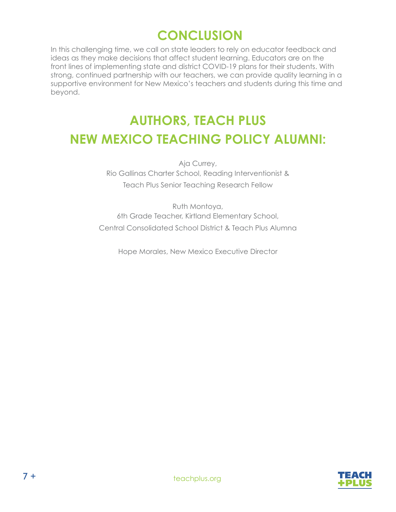# **CONCLUSION**

In this challenging time, we call on state leaders to rely on educator feedback and ideas as they make decisions that affect student learning. Educators are on the front lines of implementing state and district COVID-19 plans for their students. With strong, continued partnership with our teachers, we can provide quality learning in a supportive environment for New Mexico's teachers and students during this time and beyond.

# **AUTHORS, TEACH PLUS NEW MEXICO TEACHING POLICY ALUMNI:**

Aja Currey, Rio Gallinas Charter School, Reading Interventionist & Teach Plus Senior Teaching Research Fellow

Ruth Montoya, 6th Grade Teacher, Kirtland Elementary School, Central Consolidated School District & Teach Plus Alumna

Hope Morales, New Mexico Executive Director